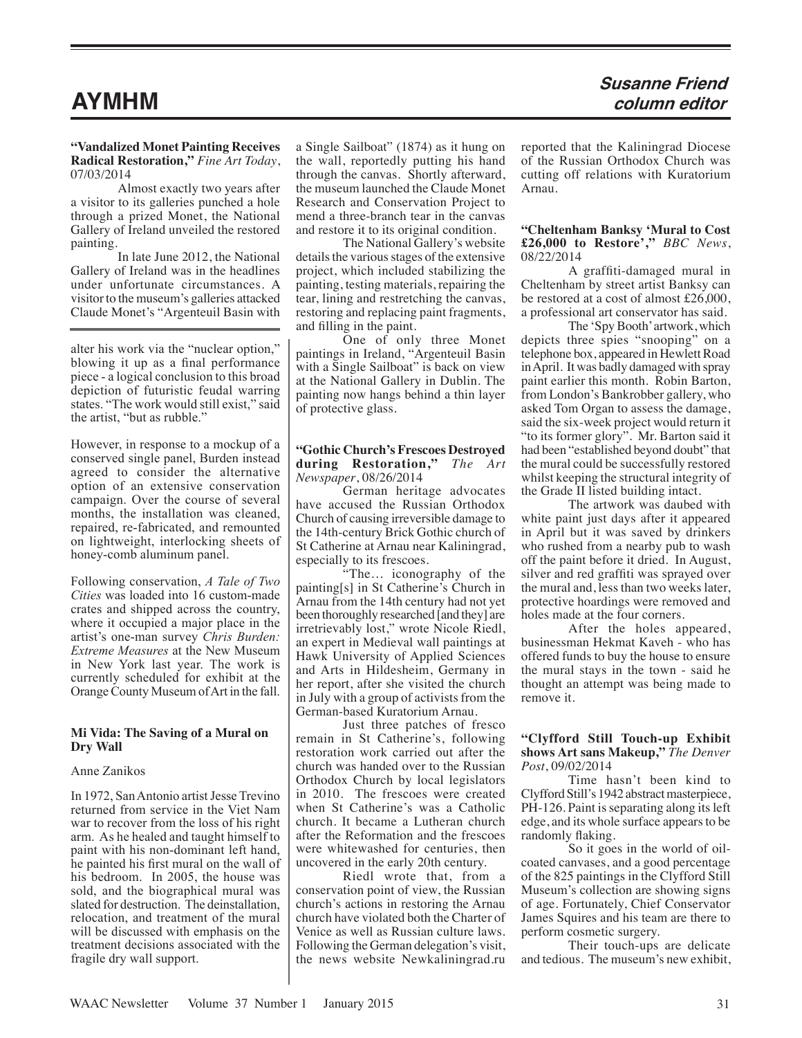# **AYMHM**

**"Vandalized Monet Painting Receives Radical Restoration,"** *Fine Art Today*, 07/03/2014

Almost exactly two years after a visitor to its galleries punched a hole through a prized Monet, the National Gallery of Ireland unveiled the restored painting.

In late June 2012, the National Gallery of Ireland was in the headlines under unfortunate circumstances. A visitor to the museum's galleries attacked Claude Monet's "Argenteuil Basin with

alter his work via the "nuclear option," blowing it up as a final performance piece - a logical conclusion to this broad depiction of futuristic feudal warring states. "The work would still exist," said the artist, "but as rubble."

However, in response to a mockup of a conserved single panel, Burden instead agreed to consider the alternative option of an extensive conservation campaign. Over the course of several months, the installation was cleaned, repaired, re-fabricated, and remounted on lightweight, interlocking sheets of honey-comb aluminum panel.

Following conservation, *A Tale of Two Cities* was loaded into 16 custom-made crates and shipped across the country, where it occupied a major place in the artist's one-man survey *Chris Burden: Extreme Measures* at the New Museum in New York last year. The work is currently scheduled for exhibit at the Orange County Museum of Art in the fall.

# **Mi Vida: The Saving of a Mural on Dry Wall**

# Anne Zanikos

In 1972, San Antonio artist Jesse Trevino returned from service in the Viet Nam war to recover from the loss of his right arm. As he healed and taught himself to paint with his non-dominant left hand, he painted his first mural on the wall of his bedroom. In 2005, the house was sold, and the biographical mural was slated for destruction. The deinstallation, relocation, and treatment of the mural will be discussed with emphasis on the treatment decisions associated with the fragile dry wall support.

a Single Sailboat" (1874) as it hung on the wall, reportedly putting his hand through the canvas. Shortly afterward, the museum launched the Claude Monet Research and Conservation Project to mend a three-branch tear in the canvas and restore it to its original condition.

The National Gallery's website details the various stages of the extensive project, which included stabilizing the painting, testing materials, repairing the tear, lining and restretching the canvas, restoring and replacing paint fragments, and filling in the paint.

One of only three Monet paintings in Ireland, "Argenteuil Basin with a Single Sailboat" is back on view at the National Gallery in Dublin. The painting now hangs behind a thin layer of protective glass.

# **"Gothic Church's Frescoes Destroyed during Restoration,"** *The Art Newspaper*, 08/26/2014

German heritage advocates have accused the Russian Orthodox Church of causing irreversible damage to the 14th-century Brick Gothic church of St Catherine at Arnau near Kaliningrad, especially to its frescoes.

"The... iconography of the painting[s] in St Catherine's Church in Arnau from the 14th century had not yet been thoroughly researched [and they] are irretrievably lost," wrote Nicole Riedl, an expert in Medieval wall paintings at Hawk University of Applied Sciences and Arts in Hildesheim, Germany in her report, after she visited the church in July with a group of activists from the German-based Kuratorium Arnau.

Just three patches of fresco remain in St Catherine's, following restoration work carried out after the church was handed over to the Russian Orthodox Church by local legislators in 2010. The frescoes were created when St Catherine's was a Catholic church. It became a Lutheran church after the Reformation and the frescoes were whitewashed for centuries, then uncovered in the early 20th century.

Riedl wrote that, from a conservation point of view, the Russian church's actions in restoring the Arnau church have violated both the Charter of Venice as well as Russian culture laws. Following the German delegation's visit, the news website Newkaliningrad.ru reported that the Kaliningrad Diocese of the Russian Orthodox Church was cutting off relations with Kuratorium Arnau.

# **"Cheltenham Banksy 'Mural to Cost £26,000 to Restore',"** *BBC News*, 08/22/2014

A graffiti-damaged mural in Cheltenham by street artist Banksy can be restored at a cost of almost £26,000, a professional art conservator has said.

The 'Spy Booth' artwork, which depicts three spies "snooping" on a telephone box, appeared in Hewlett Road in April. It was badly damaged with spray paint earlier this month. Robin Barton, from London's Bankrobber gallery, who asked Tom Organ to assess the damage, said the six-week project would return it "to its former glory". Mr. Barton said it had been "established beyond doubt" that the mural could be successfully restored whilst keeping the structural integrity of the Grade II listed building intact.

The artwork was daubed with white paint just days after it appeared in April but it was saved by drinkers who rushed from a nearby pub to wash off the paint before it dried. In August, silver and red graffiti was sprayed over the mural and, less than two weeks later, protective hoardings were removed and holes made at the four corners.

After the holes appeared, businessman Hekmat Kaveh - who has offered funds to buy the house to ensure the mural stays in the town - said he thought an attempt was being made to remove it.

# **"Clyfford Still Touch-up Exhibit shows Art sans Makeup,"** *The Denver Post*, 09/02/2014

Time hasn't been kind to Clyfford Still's 1942 abstract masterpiece, PH-126. Paint is separating along its left edge, and its whole surface appears to be randomly flaking.

So it goes in the world of oilcoated canvases, and a good percentage of the 825 paintings in the Clyfford Still Museum's collection are showing signs of age. Fortunately, Chief Conservator James Squires and his team are there to perform cosmetic surgery.

Their touch-ups are delicate and tedious. The museum's new exhibit,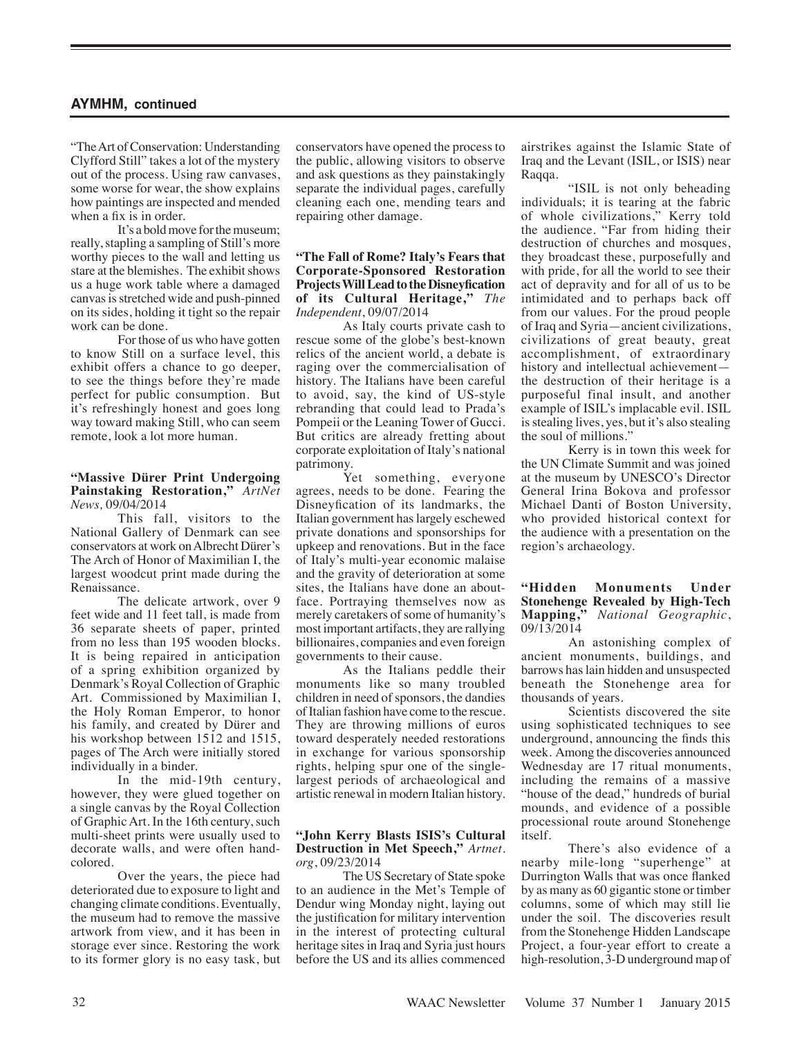"The Art of Conservation: Understanding Clyfford Still" takes a lot of the mystery out of the process. Using raw canvases, some worse for wear, the show explains how paintings are inspected and mended when a fix is in order.

It's a bold move for the museum; really, stapling a sampling of Still's more worthy pieces to the wall and letting us stare at the blemishes. The exhibit shows us a huge work table where a damaged canvas is stretched wide and push-pinned on its sides, holding it tight so the repair work can be done.

For those of us who have gotten to know Still on a surface level, this exhibit offers a chance to go deeper, to see the things before they're made perfect for public consumption. But it's refreshingly honest and goes long way toward making Still, who can seem remote, look a lot more human.

#### **"Massive Dürer Print Undergoing Painstaking Restoration,"** *ArtNet News,* 09/04/2014

This fall, visitors to the National Gallery of Denmark can see conservators at work on Albrecht Dürer's The Arch of Honor of Maximilian I, the largest woodcut print made during the Renaissance.

The delicate artwork, over 9 feet wide and 11 feet tall, is made from 36 separate sheets of paper, printed from no less than 195 wooden blocks. It is being repaired in anticipation of a spring exhibition organized by Denmark's Royal Collection of Graphic Art. Commissioned by Maximilian I, the Holy Roman Emperor, to honor his family, and created by Dürer and his workshop between 1512 and 1515, pages of The Arch were initially stored individually in a binder.

In the mid-19th century, however, they were glued together on a single canvas by the Royal Collection of Graphic Art. In the 16th century, such multi-sheet prints were usually used to decorate walls, and were often handcolored.

Over the years, the piece had deteriorated due to exposure to light and changing climate conditions. Eventually, the museum had to remove the massive artwork from view, and it has been in storage ever since. Restoring the work to its former glory is no easy task, but conservators have opened the process to the public, allowing visitors to observe and ask questions as they painstakingly separate the individual pages, carefully cleaning each one, mending tears and repairing other damage.

# **"The Fall of Rome? Italy's Fears that Corporate-Sponsored Restoration Projects Will Lead to the Disneyfication of its Cultural Heritage,"** *The Independent*, 09/07/2014

As Italy courts private cash to rescue some of the globe's best-known relics of the ancient world, a debate is raging over the commercialisation of history. The Italians have been careful to avoid, say, the kind of US-style rebranding that could lead to Prada's Pompeii or the Leaning Tower of Gucci. But critics are already fretting about corporate exploitation of Italy's national patrimony.

Yet something, everyone agrees, needs to be done. Fearing the Disneyfication of its landmarks, the Italian government has largely eschewed private donations and sponsorships for upkeep and renovations. But in the face of Italy's multi-year economic malaise and the gravity of deterioration at some sites, the Italians have done an aboutface. Portraying themselves now as merely caretakers of some of humanity's most important artifacts, they are rallying billionaires, companies and even foreign governments to their cause.

As the Italians peddle their monuments like so many troubled children in need of sponsors, the dandies of Italian fashion have come to the rescue. They are throwing millions of euros toward desperately needed restorations in exchange for various sponsorship rights, helping spur one of the singlelargest periods of archaeological and artistic renewal in modern Italian history.

## **"John Kerry Blasts ISIS's Cultural Destruction in Met Speech,"** *Artnet. org*, 09/23/2014

The US Secretary of State spoke to an audience in the Met's Temple of Dendur wing Monday night, laying out the justification for military intervention in the interest of protecting cultural heritage sites in Iraq and Syria just hours before the US and its allies commenced airstrikes against the Islamic State of Iraq and the Levant (ISIL, or ISIS) near Raqqa.

"ISIL is not only beheading individuals; it is tearing at the fabric of whole civilizations," Kerry told the audience. "Far from hiding their destruction of churches and mosques, they broadcast these, purposefully and with pride, for all the world to see their act of depravity and for all of us to be intimidated and to perhaps back off from our values. For the proud people of Iraq and Syria—ancient civilizations, civilizations of great beauty, great accomplishment, of extraordinary history and intellectual achievement the destruction of their heritage is a purposeful final insult, and another example of ISIL's implacable evil. ISIL is stealing lives, yes, but it's also stealing the soul of millions."

Kerry is in town this week for the UN Climate Summit and was joined at the museum by UNESCO's Director General Irina Bokova and professor Michael Danti of Boston University, who provided historical context for the audience with a presentation on the region's archaeology.

## **"Hidden Monuments Under Stonehenge Revealed by High-Tech Mapping,"** *National Geographic*, 09/13/2014

An astonishing complex of ancient monuments, buildings, and barrows has lain hidden and unsuspected beneath the Stonehenge area for thousands of years.

Scientists discovered the site using sophisticated techniques to see underground, announcing the finds this week. Among the discoveries announced Wednesday are 17 ritual monuments, including the remains of a massive "house of the dead," hundreds of burial mounds, and evidence of a possible processional route around Stonehenge itself.

There's also evidence of a nearby mile-long "superhenge" at Durrington Walls that was once flanked by as many as 60 gigantic stone or timber columns, some of which may still lie under the soil. The discoveries result from the Stonehenge Hidden Landscape Project, a four-year effort to create a high-resolution, 3-D underground map of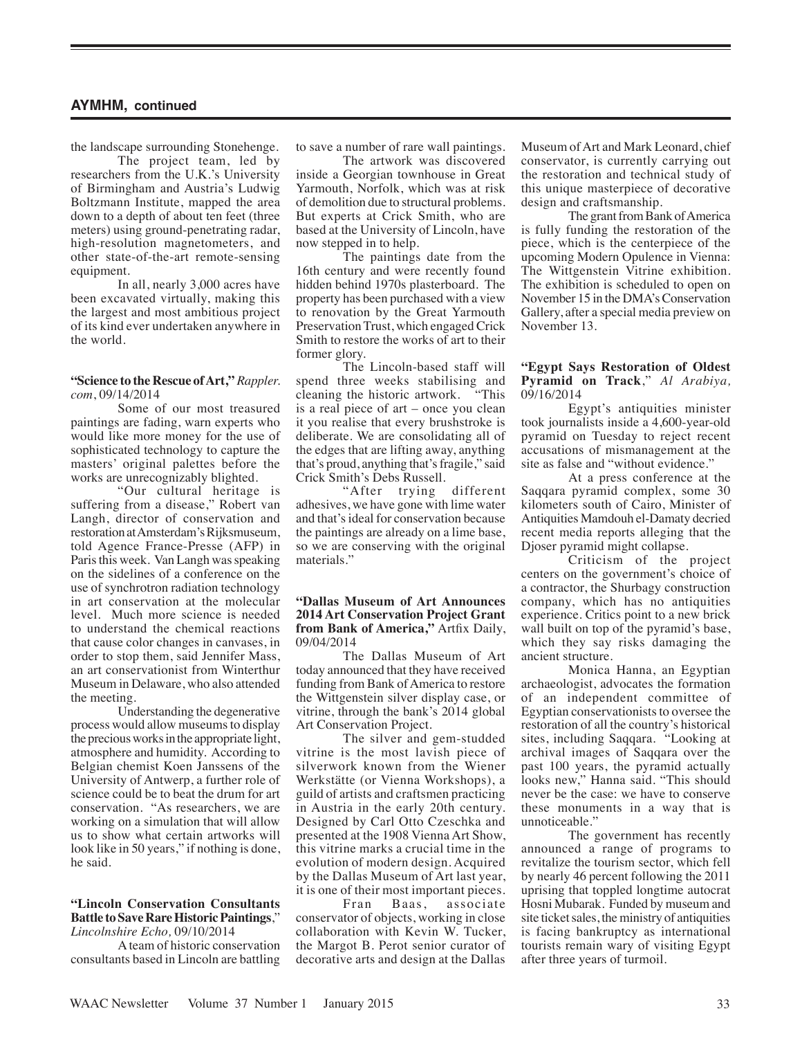the landscape surrounding Stonehenge.

The project team, led by researchers from the U.K.'s University of Birmingham and Austria's Ludwig Boltzmann Institute, mapped the area down to a depth of about ten feet (three meters) using ground-penetrating radar, high-resolution magnetometers, and other state-of-the-art remote-sensing equipment.

In all, nearly 3,000 acres have been excavated virtually, making this the largest and most ambitious project of its kind ever undertaken anywhere in the world.

#### **"Science to the Rescue of Art,"** *Rappler. com*, 09/14/2014

Some of our most treasured paintings are fading, warn experts who would like more money for the use of sophisticated technology to capture the masters' original palettes before the works are unrecognizably blighted.

"Our cultural heritage is suffering from a disease," Robert van Langh, director of conservation and restoration at Amsterdam's Rijksmuseum, told Agence France-Presse (AFP) in Paris this week. Van Langh was speaking on the sidelines of a conference on the use of synchrotron radiation technology in art conservation at the molecular level. Much more science is needed to understand the chemical reactions that cause color changes in canvases, in order to stop them, said Jennifer Mass, an art conservationist from Winterthur Museum in Delaware, who also attended the meeting.

Understanding the degenerative process would allow museums to display the precious works in the appropriate light, atmosphere and humidity. According to Belgian chemist Koen Janssens of the University of Antwerp, a further role of science could be to beat the drum for art conservation. "As researchers, we are working on a simulation that will allow us to show what certain artworks will look like in 50 years," if nothing is done, he said.

#### **"Lincoln Conservation Consultants Battle to Save Rare Historic Paintings**," *Lincolnshire Echo,* 09/10/2014

A team of historic conservation consultants based in Lincoln are battling to save a number of rare wall paintings.

The artwork was discovered inside a Georgian townhouse in Great Yarmouth, Norfolk, which was at risk of demolition due to structural problems. But experts at Crick Smith, who are based at the University of Lincoln, have now stepped in to help.

The paintings date from the 16th century and were recently found hidden behind 1970s plasterboard. The property has been purchased with a view to renovation by the Great Yarmouth Preservation Trust, which engaged Crick Smith to restore the works of art to their former glory.

The Lincoln-based staff will spend three weeks stabilising and cleaning the historic artwork. "This is a real piece of art – once you clean it you realise that every brushstroke is deliberate. We are consolidating all of the edges that are lifting away, anything that's proud, anything that's fragile," said Crick Smith's Debs Russell.

"After trying different adhesives, we have gone with lime water and that's ideal for conservation because the paintings are already on a lime base, so we are conserving with the original materials."

#### **"Dallas Museum of Art Announces 2014 Art Conservation Project Grant from Bank of America,"** Artfix Daily, 09/04/2014

The Dallas Museum of Art today announced that they have received funding from Bank of America to restore the Wittgenstein silver display case, or vitrine, through the bank's 2014 global Art Conservation Project.

The silver and gem-studded vitrine is the most lavish piece of silverwork known from the Wiener Werkstätte (or Vienna Workshops), a guild of artists and craftsmen practicing in Austria in the early 20th century. Designed by Carl Otto Czeschka and presented at the 1908 Vienna Art Show, this vitrine marks a crucial time in the evolution of modern design. Acquired by the Dallas Museum of Art last year, it is one of their most important pieces.<br>Fran Baas, associate

Fran Baas, associate conservator of objects, working in close collaboration with Kevin W. Tucker, the Margot B. Perot senior curator of decorative arts and design at the Dallas Museum of Art and Mark Leonard, chief conservator, is currently carrying out the restoration and technical study of this unique masterpiece of decorative design and craftsmanship.

The grant from Bank of America is fully funding the restoration of the piece, which is the centerpiece of the upcoming Modern Opulence in Vienna: The Wittgenstein Vitrine exhibition. The exhibition is scheduled to open on November 15 in the DMA's Conservation Gallery, after a special media preview on November 13.

## **"Egypt Says Restoration of Oldest Pyramid on Track**," *Al Arabiya,* 09/16/2014

Egypt's antiquities minister took journalists inside a 4,600-year-old pyramid on Tuesday to reject recent accusations of mismanagement at the site as false and "without evidence."

At a press conference at the Saqqara pyramid complex, some 30 kilometers south of Cairo, Minister of Antiquities Mamdouh el-Damaty decried recent media reports alleging that the Djoser pyramid might collapse.

Criticism of the project centers on the government's choice of a contractor, the Shurbagy construction company, which has no antiquities experience. Critics point to a new brick wall built on top of the pyramid's base, which they say risks damaging the ancient structure.

Monica Hanna, an Egyptian archaeologist, advocates the formation of an independent committee of Egyptian conservationists to oversee the restoration of all the country's historical sites, including Saqqara. "Looking at archival images of Saqqara over the past 100 years, the pyramid actually looks new," Hanna said. "This should never be the case: we have to conserve these monuments in a way that is unnoticeable."

The government has recently announced a range of programs to revitalize the tourism sector, which fell by nearly 46 percent following the 2011 uprising that toppled longtime autocrat Hosni Mubarak. Funded by museum and site ticket sales, the ministry of antiquities is facing bankruptcy as international tourists remain wary of visiting Egypt after three years of turmoil.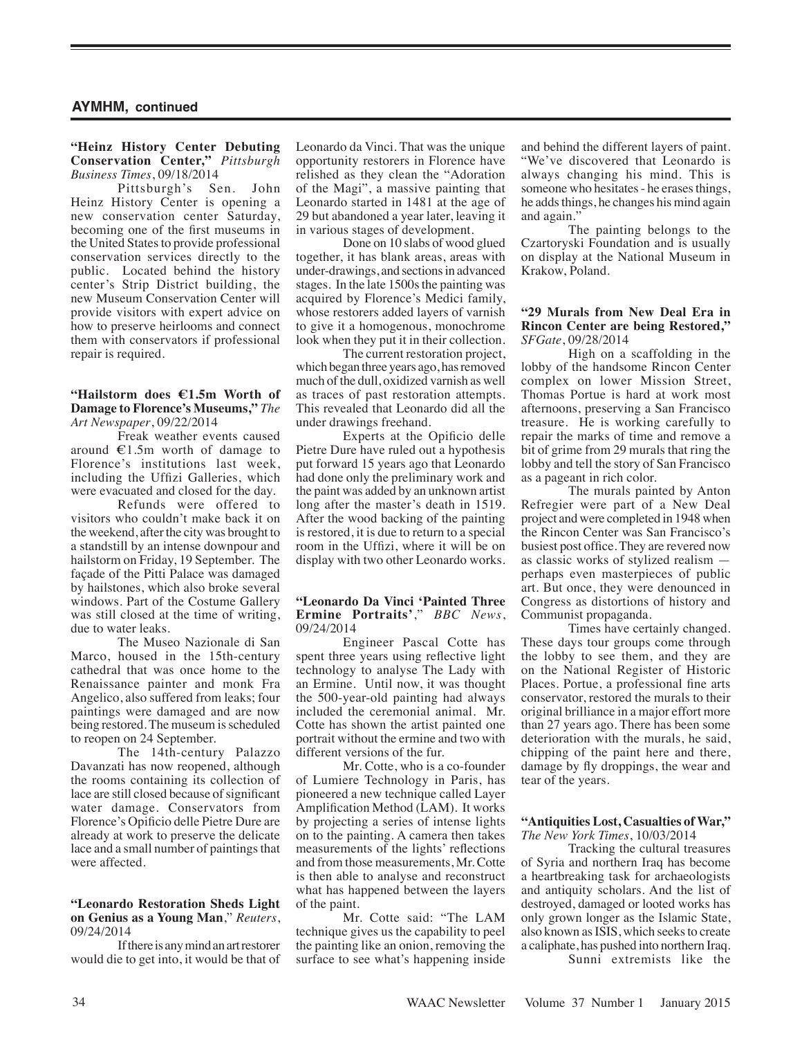# **"Heinz History Center Debuting Conservation Center,"** *Pittsburgh Business Times*, 09/18/2014

Pittsburgh's Sen. John Heinz History Center is opening a new conservation center Saturday, becoming one of the first museums in the United States to provide professional conservation services directly to the public. Located behind the history center's Strip District building, the new Museum Conservation Center will provide visitors with expert advice on how to preserve heirlooms and connect them with conservators if professional repair is required.

#### **"Hailstorm does €1.5m Worth of Damage to Florence's Museums,"** *The Art Newspaper*, 09/22/2014

Freak weather events caused around  $E1.5m$  worth of damage to Florence's institutions last week, including the Uffizi Galleries, which were evacuated and closed for the day.

Refunds were offered to visitors who couldn't make back it on the weekend, after the city was brought to a standstill by an intense downpour and hailstorm on Friday, 19 September. The façade of the Pitti Palace was damaged by hailstones, which also broke several windows. Part of the Costume Gallery was still closed at the time of writing, due to water leaks.

The Museo Nazionale di San Marco, housed in the 15th-century cathedral that was once home to the Renaissance painter and monk Fra Angelico, also suffered from leaks; four paintings were damaged and are now being restored. The museum is scheduled to reopen on 24 September.

The 14th-century Palazzo Davanzati has now reopened, although the rooms containing its collection of lace are still closed because of significant water damage. Conservators from Florence's Opificio delle Pietre Dure are already at work to preserve the delicate lace and a small number of paintings that were affected.

#### **"Leonardo Restoration Sheds Light on Genius as a Young Man**," *Reuters*, 09/24/2014

If there is any mind an art restorer would die to get into, it would be that of Leonardo da Vinci. That was the unique opportunity restorers in Florence have relished as they clean the "Adoration of the Magi", a massive painting that Leonardo started in 1481 at the age of 29 but abandoned a year later, leaving it in various stages of development.

Done on 10 slabs of wood glued together, it has blank areas, areas with under-drawings, and sections in advanced stages. In the late 1500s the painting was acquired by Florence's Medici family, whose restorers added layers of varnish to give it a homogenous, monochrome look when they put it in their collection.

The current restoration project, which began three years ago, has removed much of the dull, oxidized varnish as well as traces of past restoration attempts. This revealed that Leonardo did all the under drawings freehand.

Experts at the Opificio delle Pietre Dure have ruled out a hypothesis put forward 15 years ago that Leonardo had done only the preliminary work and the paint was added by an unknown artist long after the master's death in 1519. After the wood backing of the painting is restored, it is due to return to a special room in the Uffizi, where it will be on display with two other Leonardo works.

#### **"Leonardo Da Vinci 'Painted Three Ermine Portraits'**," *BBC News*, 09/24/2014

Engineer Pascal Cotte has spent three years using reflective light technology to analyse The Lady with an Ermine. Until now, it was thought the 500-year-old painting had always included the ceremonial animal. Mr. Cotte has shown the artist painted one portrait without the ermine and two with different versions of the fur.

Mr. Cotte, who is a co-founder of Lumiere Technology in Paris, has pioneered a new technique called Layer Amplification Method (LAM). It works by projecting a series of intense lights on to the painting. A camera then takes measurements of the lights' reflections and from those measurements, Mr. Cotte is then able to analyse and reconstruct what has happened between the layers of the paint.

Mr. Cotte said: "The LAM technique gives us the capability to peel the painting like an onion, removing the surface to see what's happening inside and behind the different layers of paint. "We've discovered that Leonardo is always changing his mind. This is someone who hesitates - he erases things, he adds things, he changes his mind again and again."

The painting belongs to the Czartoryski Foundation and is usually on display at the National Museum in Krakow, Poland.

## **"29 Murals from New Deal Era in Rincon Center are being Restored,"** *SFGate*, 09/28/2014

High on a scaffolding in the lobby of the handsome Rincon Center complex on lower Mission Street, Thomas Portue is hard at work most afternoons, preserving a San Francisco treasure. He is working carefully to repair the marks of time and remove a bit of grime from 29 murals that ring the lobby and tell the story of San Francisco as a pageant in rich color.

The murals painted by Anton Refregier were part of a New Deal project and were completed in 1948 when the Rincon Center was San Francisco's busiest post office. They are revered now as classic works of stylized realism perhaps even masterpieces of public art. But once, they were denounced in Congress as distortions of history and Communist propaganda.

Times have certainly changed. These days tour groups come through the lobby to see them, and they are on the National Register of Historic Places. Portue, a professional fine arts conservator, restored the murals to their original brilliance in a major effort more than 27 years ago. There has been some deterioration with the murals, he said, chipping of the paint here and there, damage by fly droppings, the wear and tear of the years.

#### **"Antiquities Lost, Casualties of War,"** *The New York Times*, 10/03/2014

Tracking the cultural treasures of Syria and northern Iraq has become a heartbreaking task for archaeologists and antiquity scholars. And the list of destroyed, damaged or looted works has only grown longer as the Islamic State, also known as ISIS, which seeks to create a caliphate, has pushed into northern Iraq.

Sunni extremists like the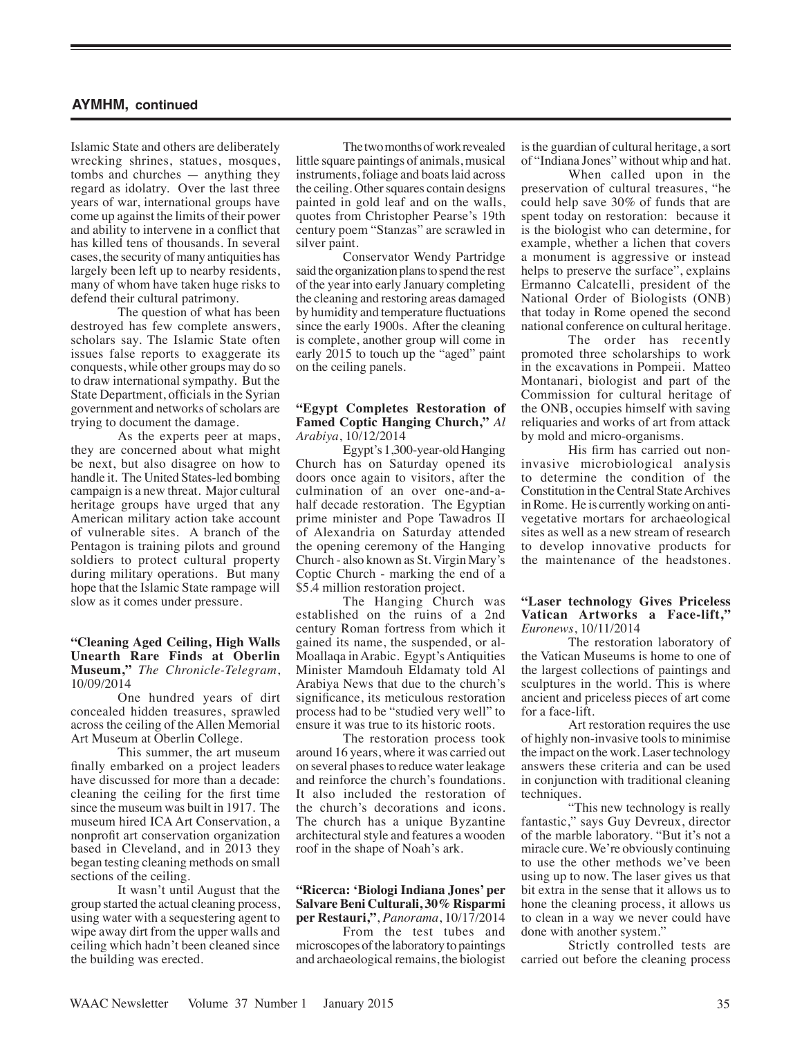Islamic State and others are deliberately wrecking shrines, statues, mosques, tombs and churches — anything they regard as idolatry. Over the last three years of war, international groups have come up against the limits of their power and ability to intervene in a conflict that has killed tens of thousands. In several cases, the security of many antiquities has largely been left up to nearby residents, many of whom have taken huge risks to defend their cultural patrimony.

The question of what has been destroyed has few complete answers, scholars say. The Islamic State often issues false reports to exaggerate its conquests, while other groups may do so to draw international sympathy. But the State Department, officials in the Syrian government and networks of scholars are trying to document the damage.

As the experts peer at maps, they are concerned about what might be next, but also disagree on how to handle it. The United States-led bombing campaign is a new threat. Major cultural heritage groups have urged that any American military action take account of vulnerable sites. A branch of the Pentagon is training pilots and ground soldiers to protect cultural property during military operations. But many hope that the Islamic State rampage will slow as it comes under pressure.

**"Cleaning Aged Ceiling, High Walls Unearth Rare Finds at Oberlin Museum,"** *The Chronicle-Telegram*, 10/09/2014

One hundred years of dirt concealed hidden treasures, sprawled across the ceiling of the Allen Memorial Art Museum at Oberlin College.

This summer, the art museum finally embarked on a project leaders have discussed for more than a decade: cleaning the ceiling for the first time since the museum was built in 1917. The museum hired ICA Art Conservation, a nonprofit art conservation organization based in Cleveland, and in 2013 they began testing cleaning methods on small sections of the ceiling.

It wasn't until August that the group started the actual cleaning process, using water with a sequestering agent to wipe away dirt from the upper walls and ceiling which hadn't been cleaned since the building was erected.

The two months of work revealed little square paintings of animals, musical instruments, foliage and boats laid across the ceiling. Other squares contain designs painted in gold leaf and on the walls, quotes from Christopher Pearse's 19th century poem "Stanzas" are scrawled in silver paint.

Conservator Wendy Partridge said the organization plans to spend the rest of the year into early January completing the cleaning and restoring areas damaged by humidity and temperature fluctuations since the early 1900s. After the cleaning is complete, another group will come in early 2015 to touch up the "aged" paint on the ceiling panels.

## **"Egypt Completes Restoration of Famed Coptic Hanging Church,"** *Al Arabiya*, 10/12/2014

Egypt's 1,300-year-old Hanging Church has on Saturday opened its doors once again to visitors, after the culmination of an over one-and-ahalf decade restoration. The Egyptian prime minister and Pope Tawadros II of Alexandria on Saturday attended the opening ceremony of the Hanging Church - also known as St. Virgin Mary's Coptic Church - marking the end of a \$5.4 million restoration project.

The Hanging Church was established on the ruins of a 2nd century Roman fortress from which it gained its name, the suspended, or al-Moallaqa in Arabic. Egypt's Antiquities Minister Mamdouh Eldamaty told Al Arabiya News that due to the church's significance, its meticulous restoration process had to be "studied very well" to ensure it was true to its historic roots.

The restoration process took around 16 years, where it was carried out on several phases to reduce water leakage and reinforce the church's foundations. It also included the restoration of the church's decorations and icons. The church has a unique Byzantine architectural style and features a wooden roof in the shape of Noah's ark.

#### **"Ricerca: 'Biologi Indiana Jones' per Salvare Beni Culturali, 30% Risparmi per Restauri,"**, *Panorama*, 10/17/2014

From the test tubes and microscopes of the laboratory to paintings and archaeological remains, the biologist is the guardian of cultural heritage, a sort of "Indiana Jones" without whip and hat.

When called upon in the preservation of cultural treasures, "he could help save 30% of funds that are spent today on restoration: because it is the biologist who can determine, for example, whether a lichen that covers a monument is aggressive or instead helps to preserve the surface", explains Ermanno Calcatelli, president of the National Order of Biologists (ONB) that today in Rome opened the second national conference on cultural heritage.

The order has recently promoted three scholarships to work in the excavations in Pompeii. Matteo Montanari, biologist and part of the Commission for cultural heritage of the ONB, occupies himself with saving reliquaries and works of art from attack by mold and micro-organisms.

His firm has carried out noninvasive microbiological analysis to determine the condition of the Constitution in the Central State Archives in Rome. He is currently working on antivegetative mortars for archaeological sites as well as a new stream of research to develop innovative products for the maintenance of the headstones.

## **"Laser technology Gives Priceless Vatican Artworks a Face-lift,"** *Euronews*, 10/11/2014

The restoration laboratory of the Vatican Museums is home to one of the largest collections of paintings and sculptures in the world. This is where ancient and priceless pieces of art come for a face-lift.

Art restoration requires the use of highly non-invasive tools to minimise the impact on the work. Laser technology answers these criteria and can be used in conjunction with traditional cleaning techniques.

"This new technology is really fantastic," says Guy Devreux, director of the marble laboratory. "But it's not a miracle cure. We're obviously continuing to use the other methods we've been using up to now. The laser gives us that bit extra in the sense that it allows us to hone the cleaning process, it allows us to clean in a way we never could have done with another system."

Strictly controlled tests are carried out before the cleaning process